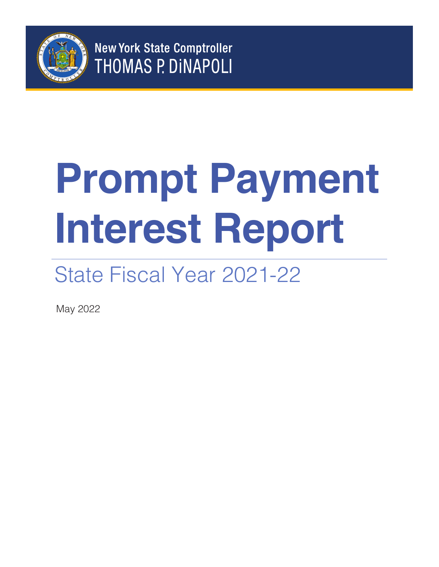

**New York State Comptroller THOMAS P. DINAPOLI** 

# **Prompt Payment Interest Report**

## State Fiscal Year 2021-22

May 2022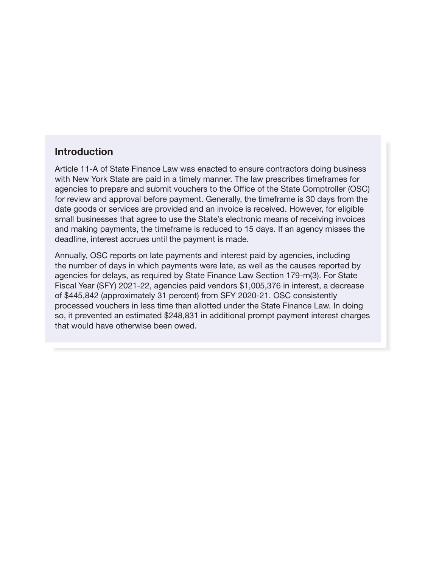#### **Introduction**

Article 11-A of State Finance Law was enacted to ensure contractors doing business with New York State are paid in a timely manner. The law prescribes timeframes for agencies to prepare and submit vouchers to the Office of the State Comptroller (OSC) for review and approval before payment. Generally, the timeframe is 30 days from the date goods or services are provided and an invoice is received. However, for eligible small businesses that agree to use the State's electronic means of receiving invoices and making payments, the timeframe is reduced to 15 days. If an agency misses the deadline, interest accrues until the payment is made.

Annually, OSC reports on late payments and interest paid by agencies, including the number of days in which payments were late, as well as the causes reported by agencies for delays, as required by State Finance Law Section 179-m(3). For State Fiscal Year (SFY) 2021-22, agencies paid vendors \$1,005,376 in interest, a decrease of \$445,842 (approximately 31 percent) from SFY 2020-21. OSC consistently processed vouchers in less time than allotted under the State Finance Law. In doing so, it prevented an estimated \$248,831 in additional prompt payment interest charges that would have otherwise been owed.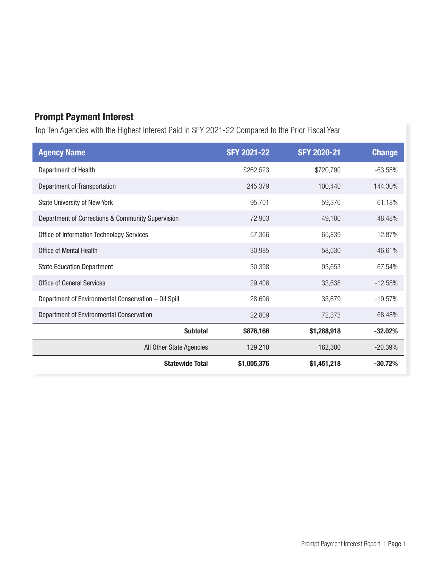### Prompt Payment Interest

Top Ten Agencies with the Highest Interest Paid in SFY 2021-22 Compared to the Prior Fiscal Year

| <b>Agency Name</b>                                   | <b>SFY 2021-22</b> | <b>SFY 2020-21</b> | <b>Change</b> |
|------------------------------------------------------|--------------------|--------------------|---------------|
| Department of Health                                 | \$262,523          | \$720,790          | $-63.58%$     |
| Department of Transportation                         | 245,379            | 100,440            | 144.30%       |
| State University of New York                         | 95,701             | 59,376             | 61.18%        |
| Department of Corrections & Community Supervision    | 72,903             | 49,100             | 48.48%        |
| Office of Information Technology Services            | 57,366             | 65,839             | $-12.87%$     |
| Office of Mental Health                              | 30,985             | 58,030             | $-46.61%$     |
| <b>State Education Department</b>                    | 30,398             | 93,653             | $-67.54%$     |
| <b>Office of General Services</b>                    | 29,406             | 33,638             | $-12.58%$     |
| Department of Environmental Conservation - Oil Spill | 28,696             | 35,679             | $-19.57%$     |
| Department of Environmental Conservation             | 22,809             | 72,373             | $-68.48%$     |
| <b>Subtotal</b>                                      | \$876,166          | \$1,288,918        | $-32.02%$     |
| All Other State Agencies                             | 129,210            | 162,300            | $-20.39%$     |
| <b>Statewide Total</b>                               | \$1,005,376        | \$1,451,218        | $-30.72%$     |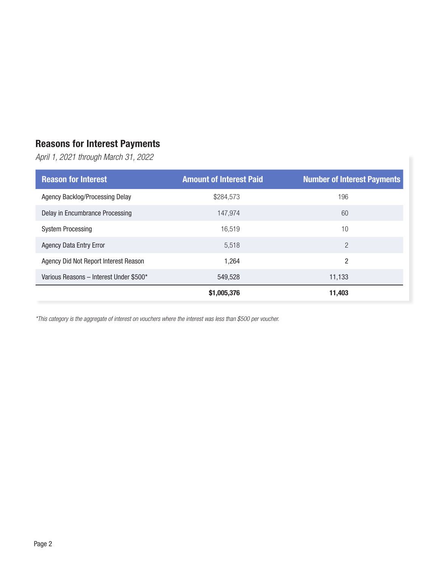### Reasons for Interest Payments

*April 1, 2021 through March 31, 2022*

| <b>Reason for Interest</b>              | <b>Amount of Interest Paid</b> | <b>Number of Interest Payments</b> |  |
|-----------------------------------------|--------------------------------|------------------------------------|--|
| Agency Backlog/Processing Delay         | \$284,573                      | 196                                |  |
| Delay in Encumbrance Processing         | 147.974                        | 60                                 |  |
| <b>System Processing</b>                | 16.519                         | 10                                 |  |
| <b>Agency Data Entry Error</b>          | 5.518                          | $\overline{2}$                     |  |
| Agency Did Not Report Interest Reason   | 1,264                          | 2                                  |  |
| Various Reasons - Interest Under \$500* | 549,528                        | 11,133                             |  |
|                                         | \$1,005,376                    | 11.403                             |  |

*\*This category is the aggregate of interest on vouchers where the interest was less than \$500 per voucher.*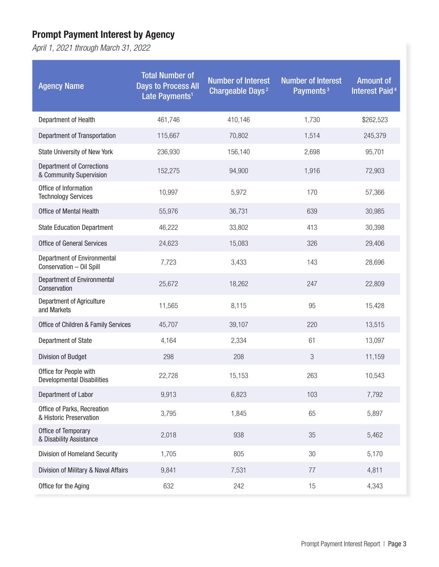### Prompt Payment Interest by Agency

*April 1, 2021 through March 31, 2022* 

| <b>Agency Name</b>                                          | <b>Total Number of</b><br><b>Days to Process All</b><br>Late Payments <sup>1</sup> | <b>Number of Interest</b><br>Chargeable Days <sup>2</sup> | <b>Number of Interest</b><br>Payments <sup>3</sup> | <b>Amount of</b><br><b>Interest Paid<sup>4</sup></b> |
|-------------------------------------------------------------|------------------------------------------------------------------------------------|-----------------------------------------------------------|----------------------------------------------------|------------------------------------------------------|
| Department of Health                                        | 461,746                                                                            | 410,146                                                   | 1,730                                              | \$262,523                                            |
| Department of Transportation                                | 115,667                                                                            | 70,802                                                    | 1,514                                              | 245,379                                              |
| State University of New York                                | 236,930                                                                            | 156,140                                                   | 2,698                                              | 95,701                                               |
| <b>Department of Corrections</b><br>& Community Supervision | 152,275                                                                            | 94,900                                                    | 1,916                                              | 72,903                                               |
| Office of Information<br><b>Technology Services</b>         | 10,997                                                                             | 5,972                                                     | 170                                                | 57,366                                               |
| <b>Office of Mental Health</b>                              | 55,976                                                                             | 36,731                                                    | 639                                                | 30,985                                               |
| <b>State Education Department</b>                           | 46,222                                                                             | 33,802                                                    | 413                                                | 30,398                                               |
| <b>Office of General Services</b>                           | 24,623                                                                             | 15,083                                                    | 326                                                | 29,406                                               |
| Department of Environmental<br>Conservation - Oil Spill     | 7,723                                                                              | 3,433                                                     | 143                                                | 28,696                                               |
| Department of Environmental<br>Conservation                 | 25,672                                                                             | 18,262                                                    | 247                                                | 22,809                                               |
| Department of Agriculture<br>and Markets                    | 11,565                                                                             | 8,115                                                     | 95                                                 | 15,428                                               |
| Office of Children & Family Services                        | 45,707                                                                             | 39,107                                                    | 220                                                | 13,515                                               |
| Department of State                                         | 4,164                                                                              | 2,334                                                     | 61                                                 | 13,097                                               |
| Division of Budget                                          | 298                                                                                | 208                                                       | $\sqrt{3}$                                         | 11,159                                               |
| Office for People with<br><b>Developmental Disabilities</b> | 22,728                                                                             | 15,153                                                    | 263                                                | 10,543                                               |
| Department of Labor                                         | 9,913                                                                              | 6,823                                                     | 103                                                | 7,792                                                |
| Office of Parks, Recreation<br>& Historic Preservation      | 3,795                                                                              | 1,845                                                     | 65                                                 | 5,897                                                |
| Office of Temporary<br>& Disability Assistance              | 2,018                                                                              | 938                                                       | 35                                                 | 5,462                                                |
| Division of Homeland Security                               | 1,705                                                                              | 805                                                       | 30                                                 | 5,170                                                |
| Division of Military & Naval Affairs                        | 9,841                                                                              | 7,531                                                     | 77                                                 | 4,811                                                |
| Office for the Aging                                        | 632                                                                                | 242                                                       | 15                                                 | 4,343                                                |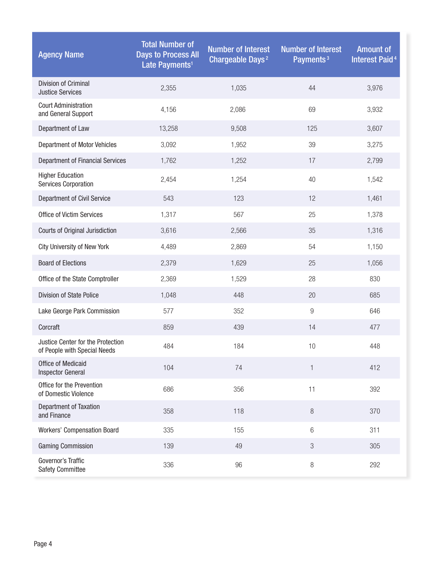| <b>Agency Name</b>                                                | <b>Total Number of</b><br><b>Days to Process All</b><br>Late Payments <sup>1</sup> | <b>Number of Interest</b><br>Chargeable Days <sup>2</sup> | <b>Number of Interest</b><br>Payments <sup>3</sup> | <b>Amount of</b><br><b>Interest Paid<sup>4</sup></b> |
|-------------------------------------------------------------------|------------------------------------------------------------------------------------|-----------------------------------------------------------|----------------------------------------------------|------------------------------------------------------|
| Division of Criminal<br><b>Justice Services</b>                   | 2,355                                                                              | 1,035                                                     | 44                                                 | 3,976                                                |
| <b>Court Administration</b><br>and General Support                | 4,156                                                                              | 2,086                                                     | 69                                                 | 3,932                                                |
| Department of Law                                                 | 13,258                                                                             | 9,508                                                     | 125                                                | 3,607                                                |
| <b>Department of Motor Vehicles</b>                               | 3,092                                                                              | 1,952                                                     | 39                                                 | 3,275                                                |
| <b>Department of Financial Services</b>                           | 1,762                                                                              | 1,252                                                     | 17                                                 | 2,799                                                |
| <b>Higher Education</b><br><b>Services Corporation</b>            | 2,454                                                                              | 1,254                                                     | 40                                                 | 1,542                                                |
| <b>Department of Civil Service</b>                                | 543                                                                                | 123                                                       | 12                                                 | 1,461                                                |
| <b>Office of Victim Services</b>                                  | 1,317                                                                              | 567                                                       | 25                                                 | 1,378                                                |
| Courts of Original Jurisdiction                                   | 3,616                                                                              | 2,566                                                     | 35                                                 | 1,316                                                |
| City University of New York                                       | 4,489                                                                              | 2,869                                                     | 54                                                 | 1,150                                                |
| <b>Board of Elections</b>                                         | 2,379                                                                              | 1,629                                                     | 25                                                 | 1,056                                                |
| Office of the State Comptroller                                   | 2,369                                                                              | 1,529                                                     | 28                                                 | 830                                                  |
| <b>Division of State Police</b>                                   | 1,048                                                                              | 448                                                       | 20                                                 | 685                                                  |
| Lake George Park Commission                                       | 577                                                                                | 352                                                       | $\overline{9}$                                     | 646                                                  |
| Corcraft                                                          | 859                                                                                | 439                                                       | 14                                                 | 477                                                  |
| Justice Center for the Protection<br>of People with Special Needs | 484                                                                                | 184                                                       | 10                                                 | 448                                                  |
| <b>Office of Medicaid</b><br><b>Inspector General</b>             | 104                                                                                | 74                                                        | $\mathbf{1}$                                       | 412                                                  |
| Office for the Prevention<br>of Domestic Violence                 | 686                                                                                | 356                                                       | 11                                                 | 392                                                  |
| <b>Department of Taxation</b><br>and Finance                      | 358                                                                                | 118                                                       | 8                                                  | 370                                                  |
| <b>Workers' Compensation Board</b>                                | 335                                                                                | 155                                                       | 6                                                  | 311                                                  |
| <b>Gaming Commission</b>                                          | 139                                                                                | 49                                                        | 3                                                  | 305                                                  |
| Governor's Traffic<br>Safety Committee                            | 336                                                                                | 96                                                        | 8                                                  | 292                                                  |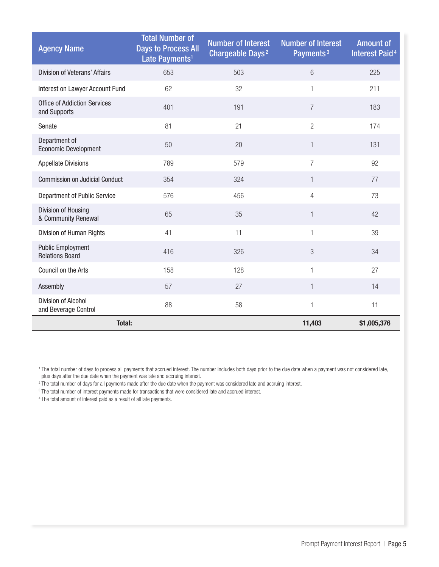| <b>Agency Name</b>                                  | <b>Total Number of</b><br><b>Days to Process All</b><br>Late Payments <sup>1</sup> | <b>Number of Interest</b><br>Chargeable Days <sup>2</sup> | <b>Number of Interest</b><br>Payments <sup>3</sup> | <b>Amount of</b><br><b>Interest Paid<sup>4</sup></b> |
|-----------------------------------------------------|------------------------------------------------------------------------------------|-----------------------------------------------------------|----------------------------------------------------|------------------------------------------------------|
| <b>Division of Veterans' Affairs</b>                | 653                                                                                | 503                                                       | $6\phantom{1}$                                     | 225                                                  |
| Interest on Lawyer Account Fund                     | 62                                                                                 | 32                                                        | $\mathbf 1$                                        | 211                                                  |
| <b>Office of Addiction Services</b><br>and Supports | 401                                                                                | 191                                                       | $\overline{7}$                                     | 183                                                  |
| Senate                                              | 81                                                                                 | 21                                                        | $\overline{2}$                                     | 174                                                  |
| Department of<br><b>Economic Development</b>        | 50                                                                                 | 20                                                        | $\mathbf{1}$                                       | 131                                                  |
| <b>Appellate Divisions</b>                          | 789                                                                                | 579                                                       | $\overline{7}$                                     | 92                                                   |
| <b>Commission on Judicial Conduct</b>               | 354                                                                                | 324                                                       | $\mathbf{1}$                                       | 77                                                   |
| Department of Public Service                        | 576                                                                                | 456                                                       | 4                                                  | 73                                                   |
| Division of Housing<br>& Community Renewal          | 65                                                                                 | 35                                                        | $\mathbf{1}$                                       | 42                                                   |
| Division of Human Rights                            | 41                                                                                 | 11                                                        | 1                                                  | 39                                                   |
| <b>Public Employment</b><br><b>Relations Board</b>  | 416                                                                                | 326                                                       | 3                                                  | 34                                                   |
| Council on the Arts                                 | 158                                                                                | 128                                                       | 1                                                  | 27                                                   |
| Assembly                                            | 57                                                                                 | 27                                                        | $\mathbf{1}$                                       | 14                                                   |
| Division of Alcohol<br>and Beverage Control         | 88                                                                                 | 58                                                        | 1                                                  | 11                                                   |
| <b>Total:</b>                                       |                                                                                    |                                                           | 11,403                                             | \$1,005,376                                          |

<sup>1</sup> The total number of days to process all payments that accrued interest. The number includes both days prior to the due date when a payment was not considered late, plus days after the due date when the payment was late and accruing interest.

2 The total number of days for all payments made after the due date when the payment was considered late and accruing interest.

<sup>3</sup> The total number of interest payments made for transactions that were considered late and accrued interest.

<sup>4</sup> The total amount of interest paid as a result of all late payments.